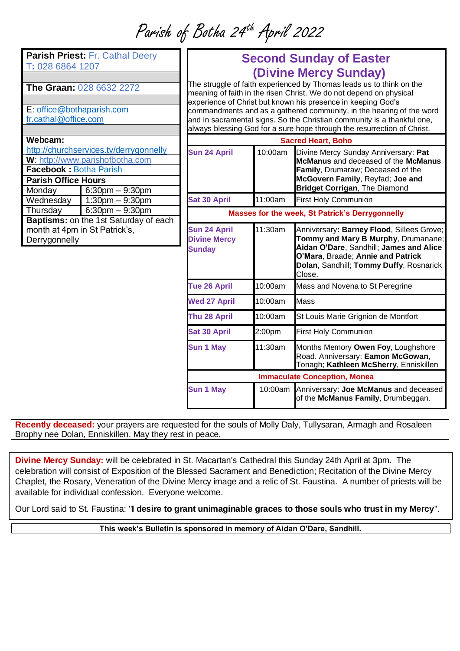Parish of Botha 24th April 2022

| Parish Priest: Fr. Cathal Deery              |                      |  |
|----------------------------------------------|----------------------|--|
| T: 028 6864 1207                             |                      |  |
|                                              |                      |  |
| The Graan: 028 6632 2272                     |                      |  |
|                                              |                      |  |
| E: office@bothaparish.com                    |                      |  |
| fr.cathal@office.com                         |                      |  |
|                                              |                      |  |
| Webcam:                                      |                      |  |
| http://churchservices.tv/derrygonnelly       |                      |  |
| W: http://www.parishofbotha.com              |                      |  |
| <b>Facebook: Botha Parish</b>                |                      |  |
| <b>Parish Office Hours</b>                   |                      |  |
| Monday                                       | $6:30$ pm $-9:30$ pm |  |
| $\overline{\mathsf{W}}$ ednesday             | $1:30$ pm $-9:30$ pm |  |
| Thursday                                     | $6:30$ pm $-9:30$ pm |  |
| <b>Baptisms:</b> on the 1st Saturday of each |                      |  |
| month at 4pm in St Patrick's,                |                      |  |
| Derrygonnelly                                |                      |  |
|                                              |                      |  |
|                                              |                      |  |
|                                              |                      |  |

## **Second Sunday of Easter (Divine Mercy Sunday)**

The struggle of faith experienced by Thomas leads us to think on the meaning of faith in the risen Christ. We do not depend on physical experience of Christ but known his presence in keeping God's commandments and as a gathered community, in the hearing of the word and in sacramental signs. So the Christian community is a thankful one, always blessing God for a sure hope through the resurrection of Christ.

| <b>Sacred Heart, Boho</b>                                   |         |                                                                                                                                                                                                                       |
|-------------------------------------------------------------|---------|-----------------------------------------------------------------------------------------------------------------------------------------------------------------------------------------------------------------------|
| <b>Sun 24 April</b>                                         | 10:00am | Divine Mercy Sunday Anniversary: Pat<br>McManus and deceased of the McManus<br>Family, Drumaraw; Deceased of the<br>McGovern Family, Reyfad; Joe and<br>Bridget Corrigan, The Diamond                                 |
| <b>Sat 30 April</b>                                         | 11:00am | <b>First Holy Communion</b>                                                                                                                                                                                           |
| <b>Masses for the week, St Patrick's Derrygonnelly</b>      |         |                                                                                                                                                                                                                       |
| <b>Sun 24 April</b><br><b>Divine Mercy</b><br><b>Sunday</b> | 11:30am | Anniversary: Barney Flood, Sillees Grove;<br>Tommy and Mary B Murphy, Drumanane;<br>Aidan O'Dare, Sandhill; James and Alice<br>O'Mara, Braade; Annie and Patrick<br>Dolan, Sandhill; Tommy Duffy, Rosnarick<br>Close. |
| <b>Tue 26 April</b>                                         | 10:00am | Mass and Novena to St Peregrine                                                                                                                                                                                       |
| <b>Wed 27 April</b>                                         | 10:00am | Mass                                                                                                                                                                                                                  |
| Thu 28 April                                                | 10:00am | St Louis Marie Grignion de Montfort                                                                                                                                                                                   |
| <b>Sat 30 April</b>                                         | 2:00pm  | <b>First Holy Communion</b>                                                                                                                                                                                           |
| <b>Sun 1 May</b>                                            | 11:30am | Months Memory Owen Foy, Loughshore<br>Road. Anniversary: Eamon McGowan,<br>Tonagh; Kathleen McSherry, Enniskillen                                                                                                     |
| <b>Immaculate Conception, Monea</b>                         |         |                                                                                                                                                                                                                       |
| <b>Sun 1 May</b>                                            | 10:00am | Anniversary: Joe McManus and deceased<br>of the McManus Family, Drumbeggan.                                                                                                                                           |

**Recently deceased:** your prayers are requested for the souls of Molly Daly, Tullysaran, Armagh and Rosaleen Brophy nee Dolan, Enniskillen. May they rest in peace.

**Divine Mercy Sunday:** will be celebrated in St. Macartan's Cathedral this Sunday 24th April at 3pm. The celebration will consist of Exposition of the Blessed Sacrament and Benediction; Recitation of the Divine Mercy Chaplet, the Rosary, Veneration of the Divine Mercy image and a relic of St. Faustina. A number of priests will be available for individual confession. Everyone welcome.

Our Lord said to St. Faustina: "**I desire to grant unimaginable graces to those souls who trust in my Mercy**".

**This week's Bulletin is sponsored in memory of Aidan O'Dare, Sandhill.**